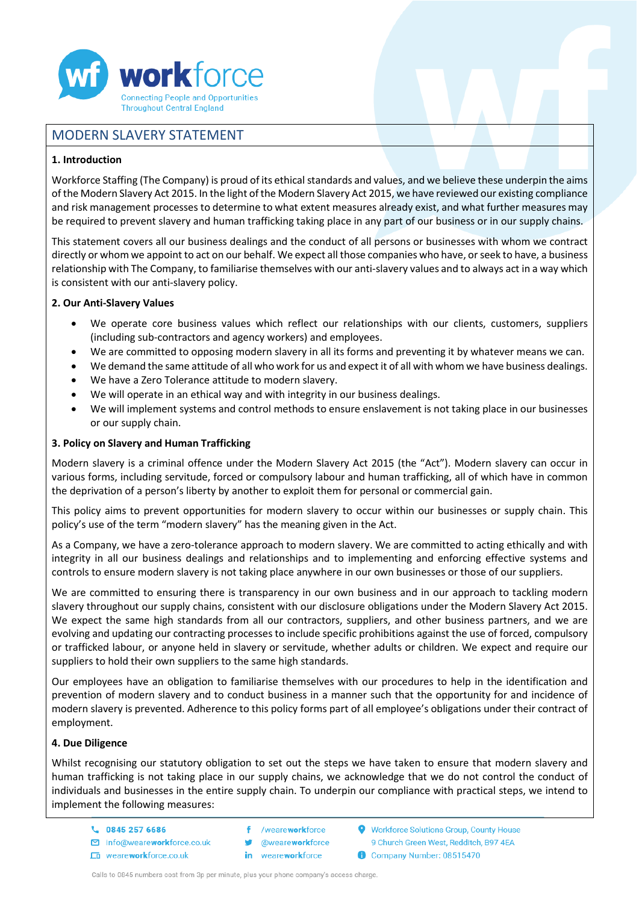

# MODERN SLAVERY STATEMENT

### **1. Introduction**

Workforce Staffing (The Company) is proud of its ethical standards and values, and we believe these underpin the aims of the Modern Slavery Act 2015. In the light of the Modern Slavery Act 2015, we have reviewed our existing compliance and risk management processes to determine to what extent measures already exist, and what further measures may be required to prevent slavery and human trafficking taking place in any part of our business or in our supply chains.

This statement covers all our business dealings and the conduct of all persons or businesses with whom we contract directly or whom we appoint to act on our behalf. We expect all those companies who have, or seek to have, a business relationship with The Company, to familiarise themselves with our anti-slavery values and to always act in a way which is consistent with our anti-slavery policy.

### **2. Our Anti-Slavery Values**

- We operate core business values which reflect our relationships with our clients, customers, suppliers (including sub-contractors and agency workers) and employees.
- We are committed to opposing modern slavery in all its forms and preventing it by whatever means we can.
- We demand the same attitude of all who work for us and expect it of all with whom we have business dealings.
- We have a Zero Tolerance attitude to modern slavery.
- We will operate in an ethical way and with integrity in our business dealings.
- We will implement systems and control methods to ensure enslavement is not taking place in our businesses or our supply chain.

### **3. Policy on Slavery and Human Trafficking**

Modern slavery is a criminal offence under the Modern Slavery Act 2015 (the "Act"). Modern slavery can occur in various forms, including servitude, forced or compulsory labour and human trafficking, all of which have in common the deprivation of a person's liberty by another to exploit them for personal or commercial gain.

This policy aims to prevent opportunities for modern slavery to occur within our businesses or supply chain. This policy's use of the term "modern slavery" has the meaning given in the Act.

As a Company, we have a zero-tolerance approach to modern slavery. We are committed to acting ethically and with integrity in all our business dealings and relationships and to implementing and enforcing effective systems and controls to ensure modern slavery is not taking place anywhere in our own businesses or those of our suppliers.

We are committed to ensuring there is transparency in our own business and in our approach to tackling modern slavery throughout our supply chains, consistent with our disclosure obligations under the Modern Slavery Act 2015. We expect the same high standards from all our contractors, suppliers, and other business partners, and we are evolving and updating our contracting processes to include specific prohibitions against the use of forced, compulsory or trafficked labour, or anyone held in slavery or servitude, whether adults or children. We expect and require our suppliers to hold their own suppliers to the same high standards.

Our employees have an obligation to familiarise themselves with our procedures to help in the identification and prevention of modern slavery and to conduct business in a manner such that the opportunity for and incidence of modern slavery is prevented. Adherence to this policy forms part of all employee's obligations under their contract of employment.

#### **4. Due Diligence**

Whilst recognising our statutory obligation to set out the steps we have taken to ensure that modern slavery and human trafficking is not taking place in our supply chains, we acknowledge that we do not control the conduct of individuals and businesses in the entire supply chain. To underpin our compliance with practical steps, we intend to implement the following measures:

- L 0845 257 6686
- m info@weareworkforce.co.uk
- Ln weareworkforce.co.uk
- f. /weareworkforce **@weareworkforce** in weareworkforce
- Workforce Solutions Group, County House 9 Church Green West, Redditch, B97 4EA Company Number: 08515470
- Calls to 0845 numbers cost from 3p per minute, plus your phone company's access charge.